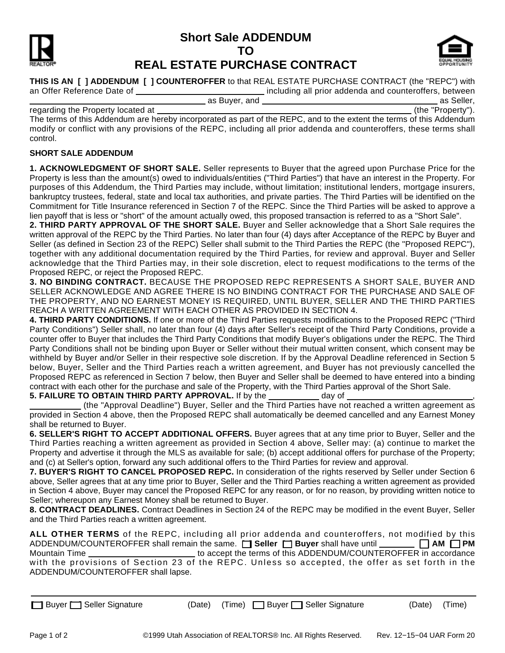# **Short Sale ADDENDUM TO**



# **REAL ESTATE PURCHASE CONTRACT**



**THIS IS AN .[ ] ADDENDUM .[ ] COUNTEROFFER** to that REAL ESTATE PURCHASE CONTRACT (the "REPC") with

including all prior addenda and counteroffers, between

as Buyer, and **and all the seller and are constructed** and as Seller, and as Seller, and as Seller, and as Seller, regarding the Property located at

The terms of this Addendum are hereby incorporated as part of the REPC, and to the extent the terms of this Addendum modify or conflict with any provisions of the REPC, including all prior addenda and counteroffers, these terms shall control.

## **SHORT SALE ADDENDUM**

**1. ACKNOWLEDGMENT OF SHORT SALE.** Seller represents to Buyer that the agreed upon Purchase Price for the Property is less than the amount(s) owed to individuals/entities ("Third Parties") that have an interest in the Property. For purposes of this Addendum, the Third Parties may include, without limitation; institutional lenders, mortgage insurers, bankruptcy trustees, federal, state and local tax authorities, and private parties. The Third Parties will be identified on the Commitment for Title Insurance referenced in Section 7 of the REPC. Since the Third Parties will be asked to approve a lien payoff that is less or "short" of the amount actually owed, this proposed transaction is referred to as a "Short Sale".

**2. THIRD PARTY APPROVAL OF THE SHORT SALE.** Buyer and Seller acknowledge that a Short Sale requires the written approval of the REPC by the Third Parties. No later than four (4) days after Acceptance of the REPC by Buyer and Seller (as defined in Section 23 of the REPC) Seller shall submit to the Third Parties the REPC (the "Proposed REPC"), together with any additional documentation required by the Third Parties, for review and approval. Buyer and Seller acknowledge that the Third Parties may, in their sole discretion, elect to request modifications to the terms of the Proposed REPC, or reject the Proposed REPC.

**3. NO BINDING CONTRACT.** BECAUSE THE PROPOSED REPC REPRESENTS A SHORT SALE, BUYER AND SELLER ACKNOWLEDGE AND AGREE THERE IS NO BINDING CONTRACT FOR THE PURCHASE AND SALE OF THE PROPERTY, AND NO EARNEST MONEY IS REQUIRED, UNTIL BUYER, SELLER AND THE THIRD PARTIES REACH A WRITTEN AGREEMENT WITH EACH OTHER AS PROVIDED IN SECTION 4.

**4. THIRD PARTY CONDITIONS.** If one or more of the Third Parties requests modifications to the Proposed REPC ("Third Party Conditions") Seller shall, no later than four (4) days after Seller's receipt of the Third Party Conditions, provide a counter offer to Buyer that includes the Third Party Conditions that modify Buyer's obligations under the REPC. The Third Party Conditions shall not be binding upon Buyer or Seller without their mutual written consent, which consent may be withheld by Buyer and/or Seller in their respective sole discretion. If by the Approval Deadline referenced in Section 5 below, Buyer, Seller and the Third Parties reach a written agreement, and Buyer has not previously cancelled the Proposed REPC as referenced in Section 7 below, then Buyer and Seller shall be deemed to have entered into a binding contract with each other for the purchase and sale of the Property, with the Third Parties approval of the Short Sale. **5. FAILURE TO OBTAIN THIRD PARTY APPROVAL.** If by the day of ,

 (the "Approval Deadline") Buyer, Seller and the Third Parties have not reached a written agreement as provided in Section 4 above, then the Proposed REPC shall automatically be deemed cancelled and any Earnest Money shall be returned to Buyer.

**6. SELLER'S RIGHT TO ACCEPT ADDITIONAL OFFERS.** Buyer agrees that at any time prior to Buyer, Seller and the Third Parties reaching a written agreement as provided in Section 4 above, Seller may: (a) continue to market the Property and advertise it through the MLS as available for sale; (b) accept additional offers for purchase of the Property; and (c) at Seller's option, forward any such additional offers to the Third Parties for review and approval.

**7. BUYER'S RIGHT TO CANCEL PROPOSED REPC.** In consideration of the rights reserved by Seller under Section 6 above, Seller agrees that at any time prior to Buyer, Seller and the Third Parties reaching a written agreement as provided in Section 4 above, Buyer may cancel the Proposed REPC for any reason, or for no reason, by providing written notice to Seller; whereupon any Earnest Money shall be returned to Buyer.

**8. CONTRACT DEADLINES.** Contract Deadlines in Section 24 of the REPC may be modified in the event Buyer, Seller and the Third Parties reach a written agreement.

**ALL OTHER TERMS** of the REPC, including all prior addenda and counteroffers, not modified by this ADDENDUM/COUNTEROFFER shall remain the same. **In Seller in Buyer** shall have until **......... AM <b>I** PM Mountain Time \_\_\_\_\_\_\_\_\_\_\_\_\_\_\_\_\_\_\_\_\_\_\_\_\_\_\_\_\_to accept the terms of this ADDENDUM/COUNTEROFFER in accordance with the provisions of Section 23 of the REPC. Unless so accepted, the offer as set forth in the ADDENDUM/COUNTEROFFER shall lapse.